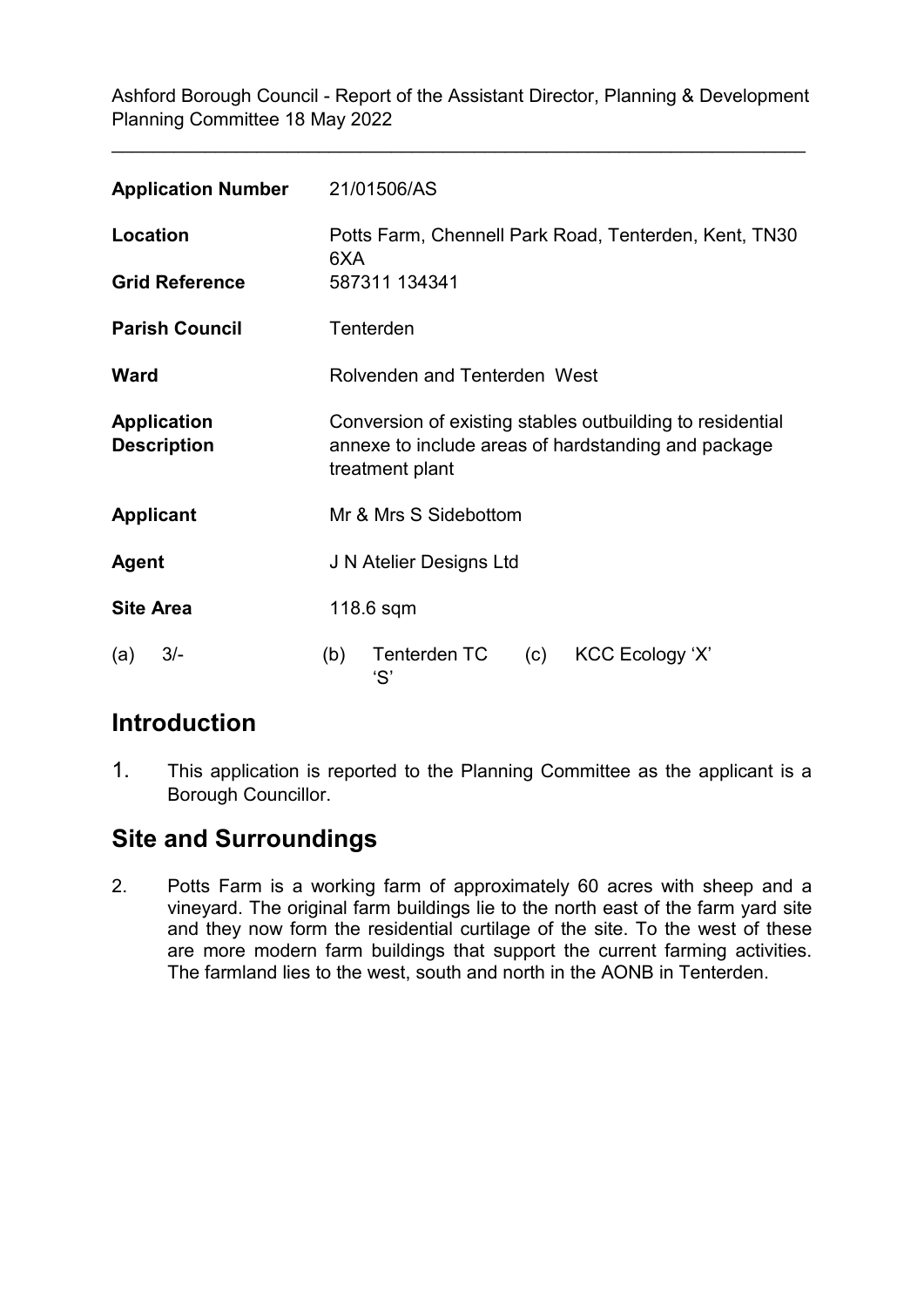\_\_\_\_\_\_\_\_\_\_\_\_\_\_\_\_\_\_\_\_\_\_\_\_\_\_\_\_\_\_\_\_\_\_\_\_\_\_\_\_\_\_\_\_\_\_\_\_\_\_\_\_\_\_\_\_\_\_\_\_\_\_\_\_\_\_\_

| <b>Application Number</b>                | 21/01506/AS                                                                                                                         |  |
|------------------------------------------|-------------------------------------------------------------------------------------------------------------------------------------|--|
| Location                                 | Potts Farm, Chennell Park Road, Tenterden, Kent, TN30<br>6XA                                                                        |  |
| <b>Grid Reference</b>                    | 587311 134341                                                                                                                       |  |
| <b>Parish Council</b>                    | Tenterden                                                                                                                           |  |
| <b>Ward</b>                              | Rolvenden and Tenterden West                                                                                                        |  |
| <b>Application</b><br><b>Description</b> | Conversion of existing stables outbuilding to residential<br>annexe to include areas of hardstanding and package<br>treatment plant |  |
| <b>Applicant</b>                         | Mr & Mrs S Sidebottom                                                                                                               |  |
| <b>Agent</b>                             | J N Atelier Designs Ltd                                                                                                             |  |
| <b>Site Area</b>                         | $118.6$ sqm                                                                                                                         |  |
| $3/-$<br>(a)                             | Tenterden TC<br>KCC Ecology 'X'<br>(b)<br>(c)<br>'S'                                                                                |  |

# **Introduction**

1. This application is reported to the Planning Committee as the applicant is a Borough Councillor.

# **Site and Surroundings**

2. Potts Farm is a working farm of approximately 60 acres with sheep and a vineyard. The original farm buildings lie to the north east of the farm yard site and they now form the residential curtilage of the site. To the west of these are more modern farm buildings that support the current farming activities. The farmland lies to the west, south and north in the AONB in Tenterden.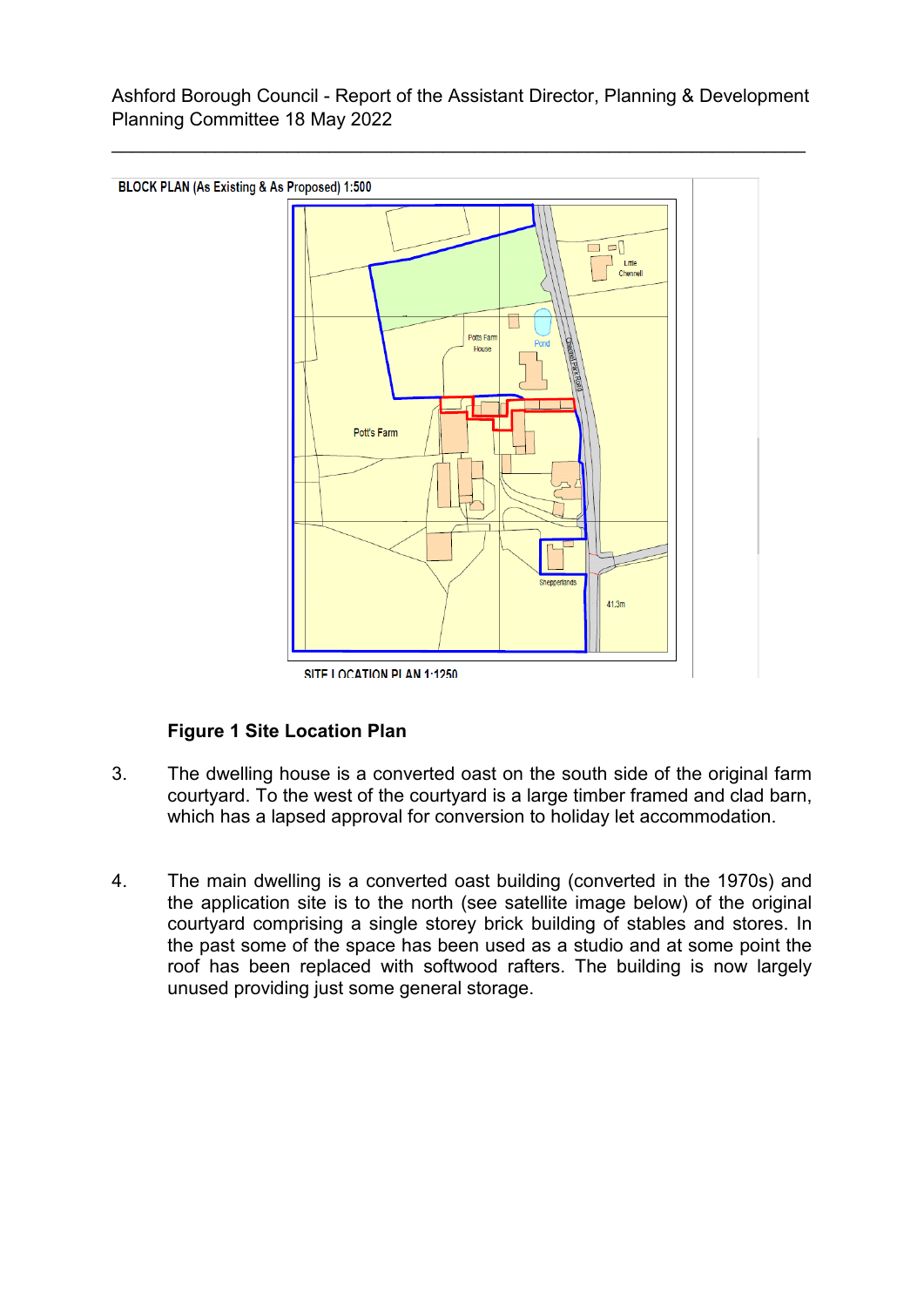\_\_\_\_\_\_\_\_\_\_\_\_\_\_\_\_\_\_\_\_\_\_\_\_\_\_\_\_\_\_\_\_\_\_\_\_\_\_\_\_\_\_\_\_\_\_\_\_\_\_\_\_\_\_\_\_\_\_\_\_\_\_\_\_\_\_\_



SITE LOCATION PLAN 1:1250

## **Figure 1 Site Location Plan**

- 3. The dwelling house is a converted oast on the south side of the original farm courtyard. To the west of the courtyard is a large timber framed and clad barn, which has a lapsed approval for conversion to holiday let accommodation.
- 4. The main dwelling is a converted oast building (converted in the 1970s) and the application site is to the north (see satellite image below) of the original courtyard comprising a single storey brick building of stables and stores. In the past some of the space has been used as a studio and at some point the roof has been replaced with softwood rafters. The building is now largely unused providing just some general storage.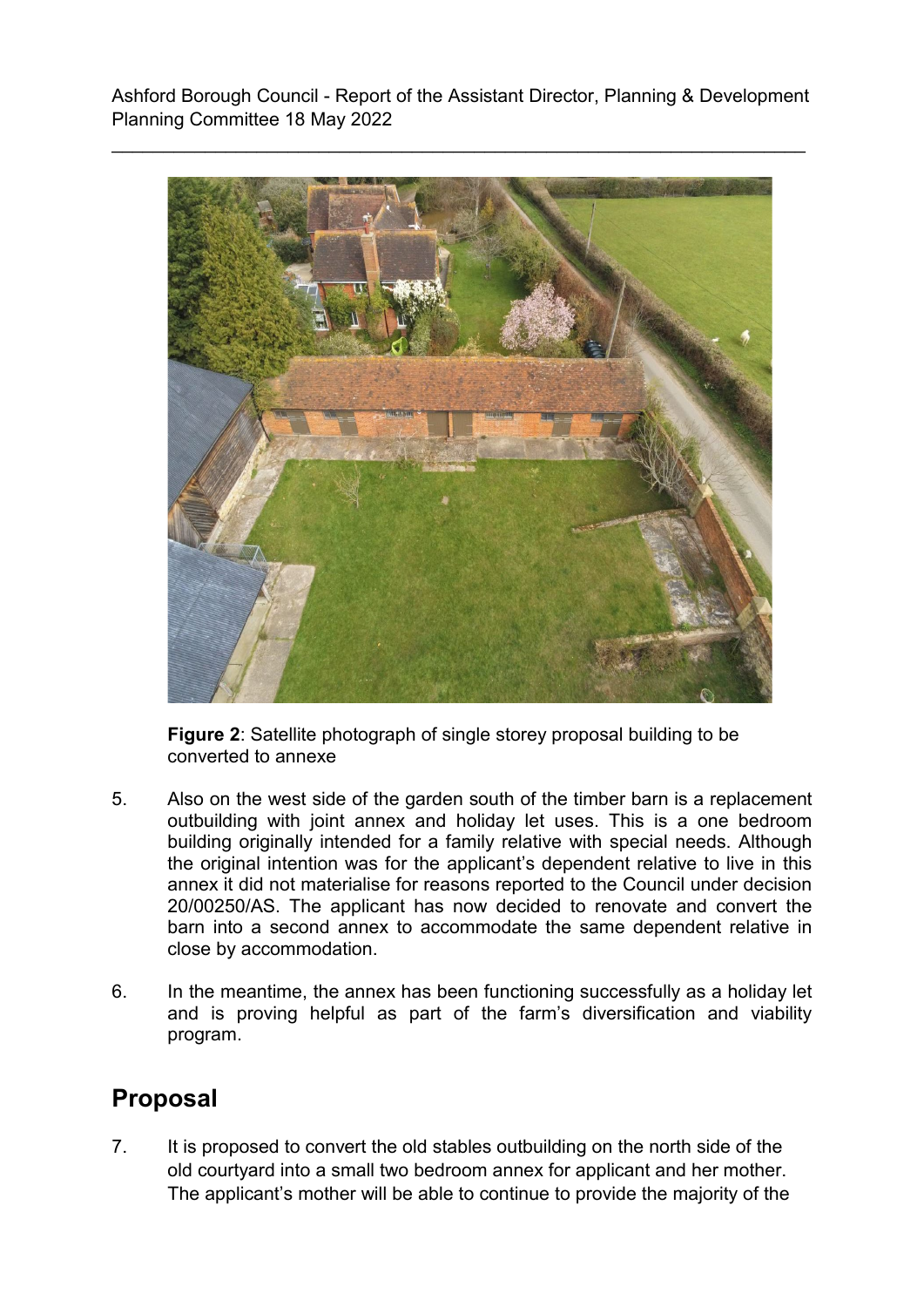

**Figure 2**: Satellite photograph of single storey proposal building to be converted to annexe

- 5. Also on the west side of the garden south of the timber barn is a replacement outbuilding with joint annex and holiday let uses. This is a one bedroom building originally intended for a family relative with special needs. Although the original intention was for the applicant's dependent relative to live in this annex it did not materialise for reasons reported to the Council under decision 20/00250/AS. The applicant has now decided to renovate and convert the barn into a second annex to accommodate the same dependent relative in close by accommodation.
- 6. In the meantime, the annex has been functioning successfully as a holiday let and is proving helpful as part of the farm's diversification and viability program.

# **Proposal**

7. It is proposed to convert the old stables outbuilding on the north side of the old courtyard into a small two bedroom annex for applicant and her mother. The applicant's mother will be able to continue to provide the majority of the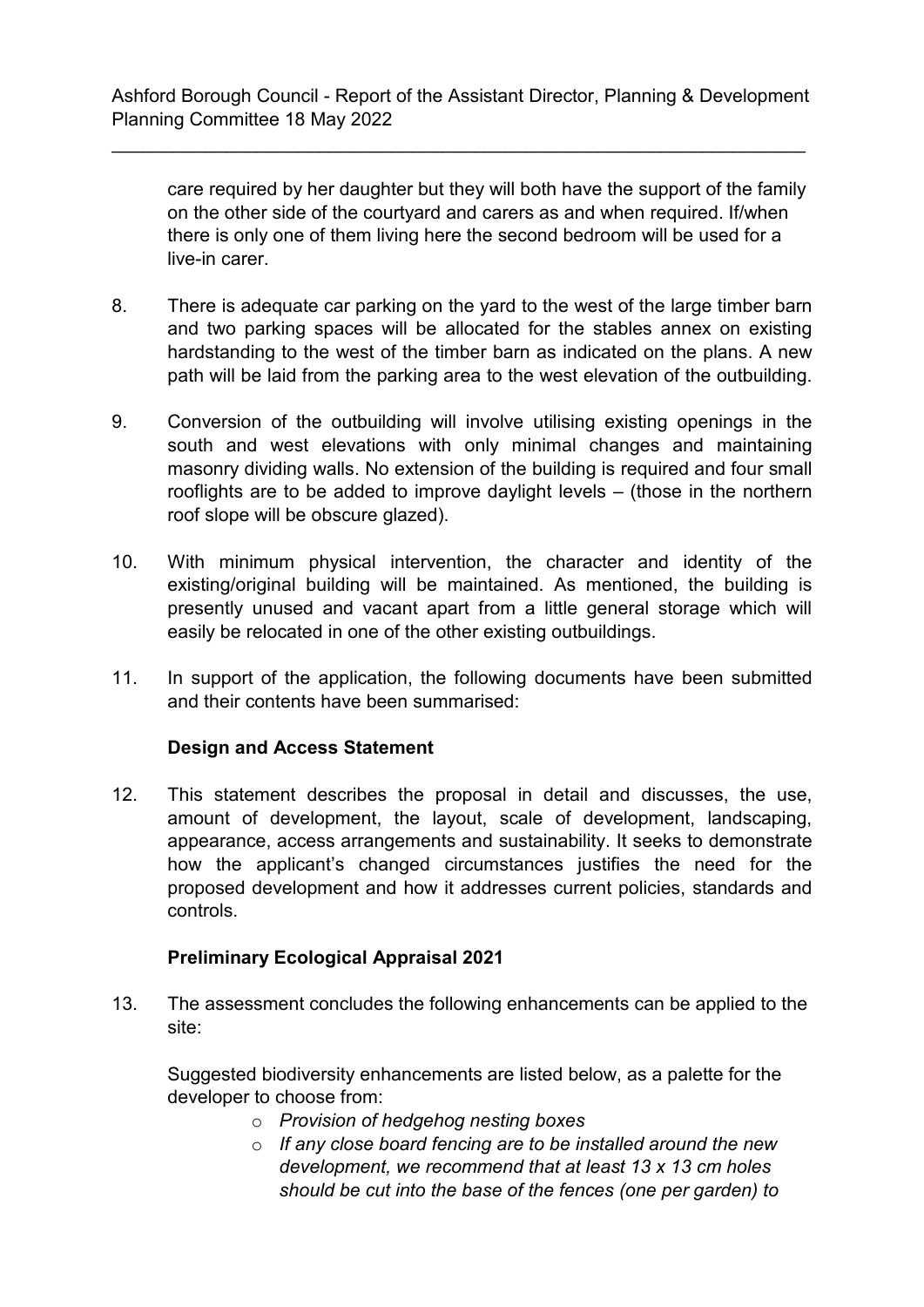\_\_\_\_\_\_\_\_\_\_\_\_\_\_\_\_\_\_\_\_\_\_\_\_\_\_\_\_\_\_\_\_\_\_\_\_\_\_\_\_\_\_\_\_\_\_\_\_\_\_\_\_\_\_\_\_\_\_\_\_\_\_\_\_\_\_\_

care required by her daughter but they will both have the support of the family on the other side of the courtyard and carers as and when required. If/when there is only one of them living here the second bedroom will be used for a live-in carer.

- 8. There is adequate car parking on the yard to the west of the large timber barn and two parking spaces will be allocated for the stables annex on existing hardstanding to the west of the timber barn as indicated on the plans. A new path will be laid from the parking area to the west elevation of the outbuilding.
- 9. Conversion of the outbuilding will involve utilising existing openings in the south and west elevations with only minimal changes and maintaining masonry dividing walls. No extension of the building is required and four small rooflights are to be added to improve daylight levels – (those in the northern roof slope will be obscure glazed).
- 10. With minimum physical intervention, the character and identity of the existing/original building will be maintained. As mentioned, the building is presently unused and vacant apart from a little general storage which will easily be relocated in one of the other existing outbuildings.
- 11. In support of the application, the following documents have been submitted and their contents have been summarised:

## **Design and Access Statement**

12. This statement describes the proposal in detail and discusses, the use, amount of development, the layout, scale of development, landscaping, appearance, access arrangements and sustainability. It seeks to demonstrate how the applicant's changed circumstances justifies the need for the proposed development and how it addresses current policies, standards and controls.

## **Preliminary Ecological Appraisal 2021**

13. The assessment concludes the following enhancements can be applied to the site:

Suggested biodiversity enhancements are listed below, as a palette for the developer to choose from:

- o *Provision of hedgehog nesting boxes*
- o *If any close board fencing are to be installed around the new development, we recommend that at least 13 x 13 cm holes should be cut into the base of the fences (one per garden) to*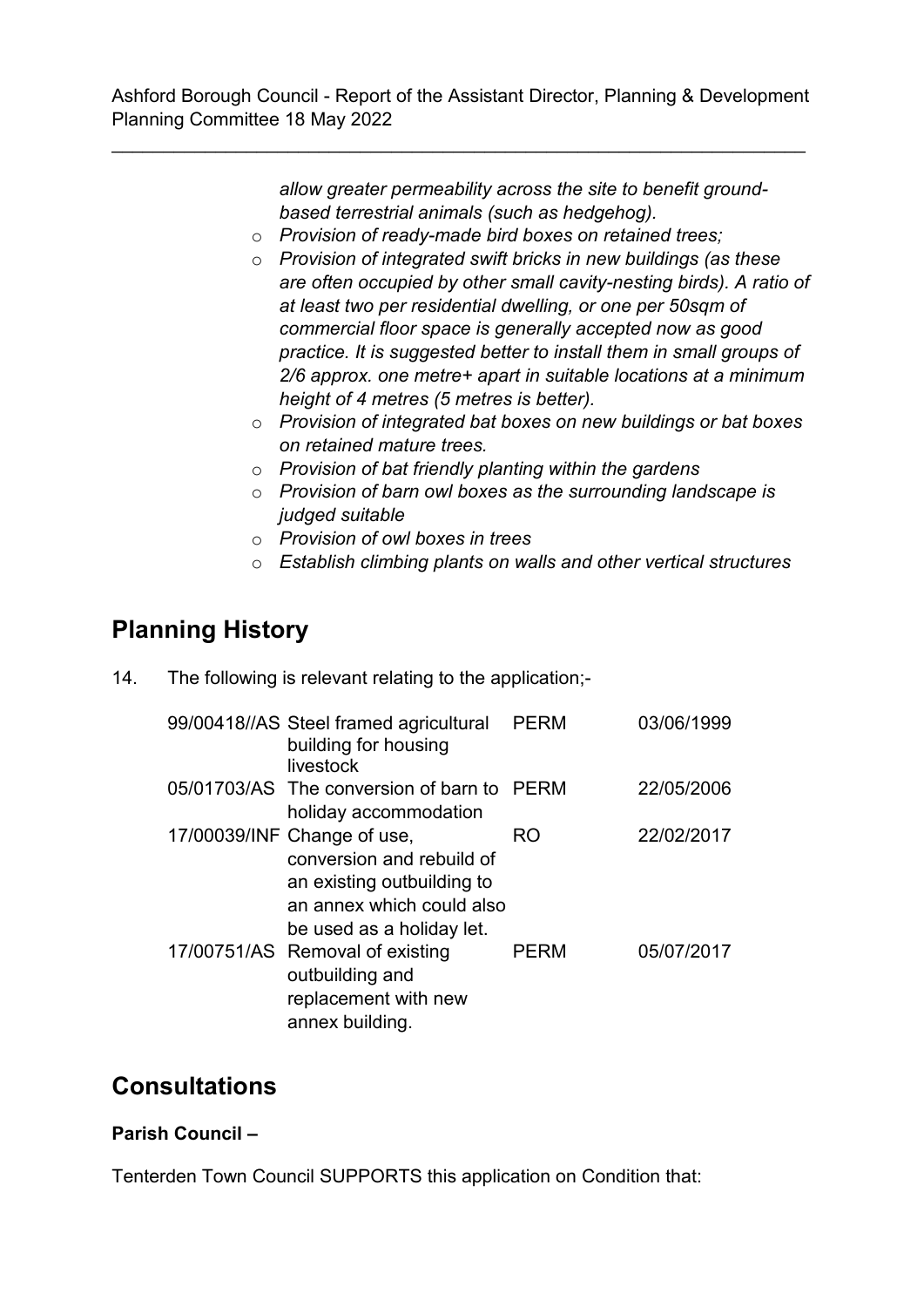\_\_\_\_\_\_\_\_\_\_\_\_\_\_\_\_\_\_\_\_\_\_\_\_\_\_\_\_\_\_\_\_\_\_\_\_\_\_\_\_\_\_\_\_\_\_\_\_\_\_\_\_\_\_\_\_\_\_\_\_\_\_\_\_\_\_\_

*allow greater permeability across the site to benefit groundbased terrestrial animals (such as hedgehog).* 

- o *Provision of ready-made bird boxes on retained trees;*
- o *Provision of integrated swift bricks in new buildings (as these are often occupied by other small cavity-nesting birds). A ratio of at least two per residential dwelling, or one per 50sqm of commercial floor space is generally accepted now as good practice. It is suggested better to install them in small groups of 2/6 approx. one metre+ apart in suitable locations at a minimum height of 4 metres (5 metres is better).*
- o *Provision of integrated bat boxes on new buildings or bat boxes on retained mature trees.*
- o *Provision of bat friendly planting within the gardens*
- o *Provision of barn owl boxes as the surrounding landscape is judged suitable*
- o *Provision of owl boxes in trees*
- o *Establish climbing plants on walls and other vertical structures*

# **Planning History**

14. The following is relevant relating to the application;-

| 99/00418//AS Steel framed agricultural<br>building for housing<br>livestock                                                                      | <b>PERM</b> | 03/06/1999 |
|--------------------------------------------------------------------------------------------------------------------------------------------------|-------------|------------|
| 05/01703/AS The conversion of barn to PERM<br>holiday accommodation                                                                              |             | 22/05/2006 |
| 17/00039/INF Change of use,<br>conversion and rebuild of<br>an existing outbuilding to<br>an annex which could also<br>be used as a holiday let. | RO          | 22/02/2017 |
| 17/00751/AS Removal of existing<br>outbuilding and<br>replacement with new<br>annex building.                                                    | <b>PERM</b> | 05/07/2017 |

## **Consultations**

## **Parish Council –**

Tenterden Town Council SUPPORTS this application on Condition that: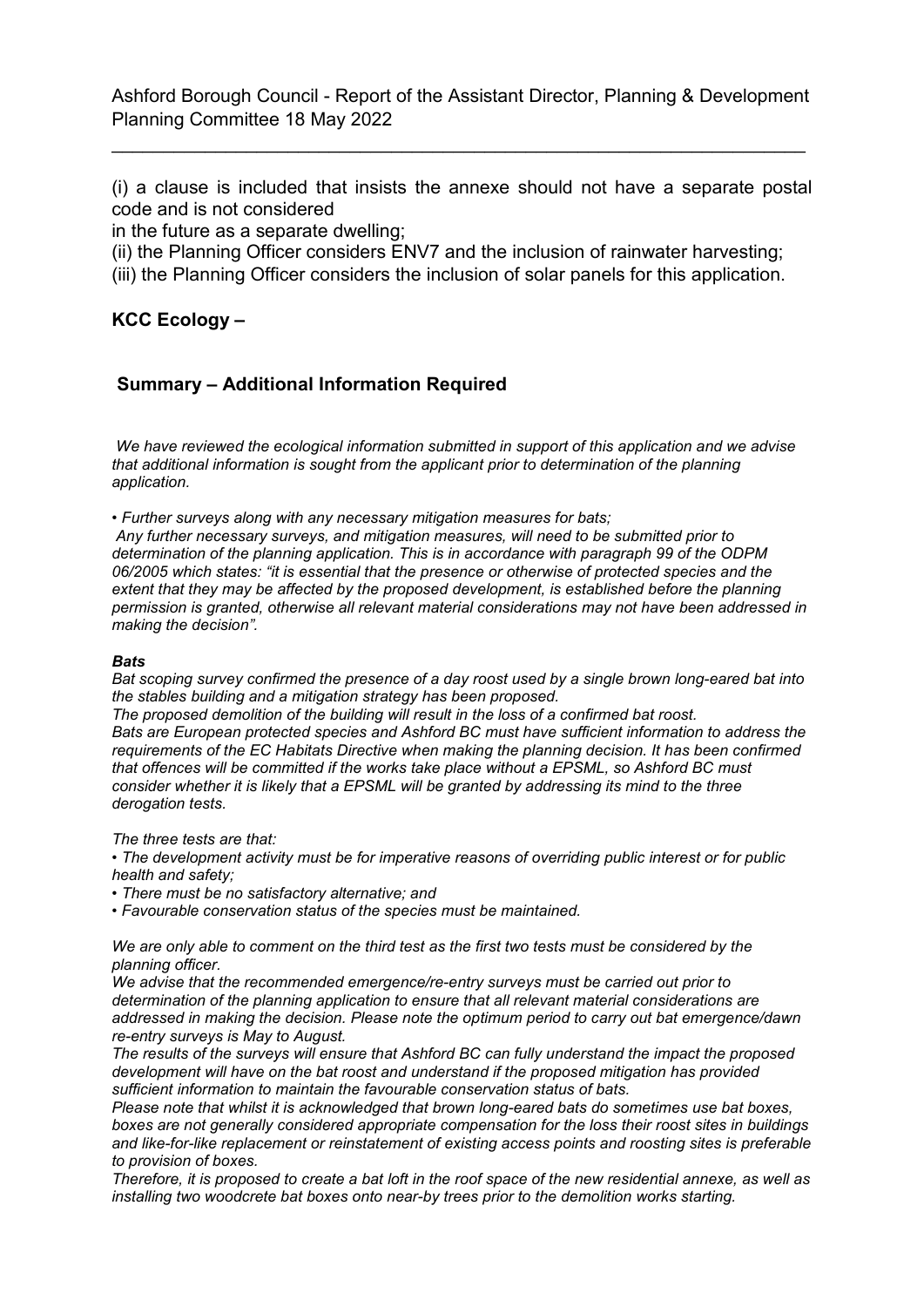\_\_\_\_\_\_\_\_\_\_\_\_\_\_\_\_\_\_\_\_\_\_\_\_\_\_\_\_\_\_\_\_\_\_\_\_\_\_\_\_\_\_\_\_\_\_\_\_\_\_\_\_\_\_\_\_\_\_\_\_\_\_\_\_\_\_\_

(i) a clause is included that insists the annexe should not have a separate postal code and is not considered

in the future as a separate dwelling;

(ii) the Planning Officer considers ENV7 and the inclusion of rainwater harvesting;

(iii) the Planning Officer considers the inclusion of solar panels for this application.

**KCC Ecology –**

### **Summary – Additional Information Required**

*We have reviewed the ecological information submitted in support of this application and we advise that additional information is sought from the applicant prior to determination of the planning application.* 

*• Further surveys along with any necessary mitigation measures for bats;*

*Any further necessary surveys, and mitigation measures, will need to be submitted prior to determination of the planning application. This is in accordance with paragraph 99 of the ODPM 06/2005 which states: "it is essential that the presence or otherwise of protected species and the extent that they may be affected by the proposed development, is established before the planning permission is granted, otherwise all relevant material considerations may not have been addressed in making the decision".*

#### *Bats*

*Bat scoping survey confirmed the presence of a day roost used by a single brown long-eared bat into the stables building and a mitigation strategy has been proposed.* 

*The proposed demolition of the building will result in the loss of a confirmed bat roost. Bats are European protected species and Ashford BC must have sufficient information to address the requirements of the EC Habitats Directive when making the planning decision. It has been confirmed that offences will be committed if the works take place without a EPSML, so Ashford BC must consider whether it is likely that a EPSML will be granted by addressing its mind to the three derogation tests.* 

*The three tests are that:* 

*• The development activity must be for imperative reasons of overriding public interest or for public health and safety;* 

*• There must be no satisfactory alternative; and* 

*• Favourable conservation status of the species must be maintained.* 

*We are only able to comment on the third test as the first two tests must be considered by the planning officer.* 

*We advise that the recommended emergence/re-entry surveys must be carried out prior to determination of the planning application to ensure that all relevant material considerations are addressed in making the decision. Please note the optimum period to carry out bat emergence/dawn re-entry surveys is May to August.* 

*The results of the surveys will ensure that Ashford BC can fully understand the impact the proposed development will have on the bat roost and understand if the proposed mitigation has provided sufficient information to maintain the favourable conservation status of bats.* 

*Please note that whilst it is acknowledged that brown long-eared bats do sometimes use bat boxes, boxes are not generally considered appropriate compensation for the loss their roost sites in buildings and like-for-like replacement or reinstatement of existing access points and roosting sites is preferable to provision of boxes.* 

*Therefore, it is proposed to create a bat loft in the roof space of the new residential annexe, as well as installing two woodcrete bat boxes onto near-by trees prior to the demolition works starting.*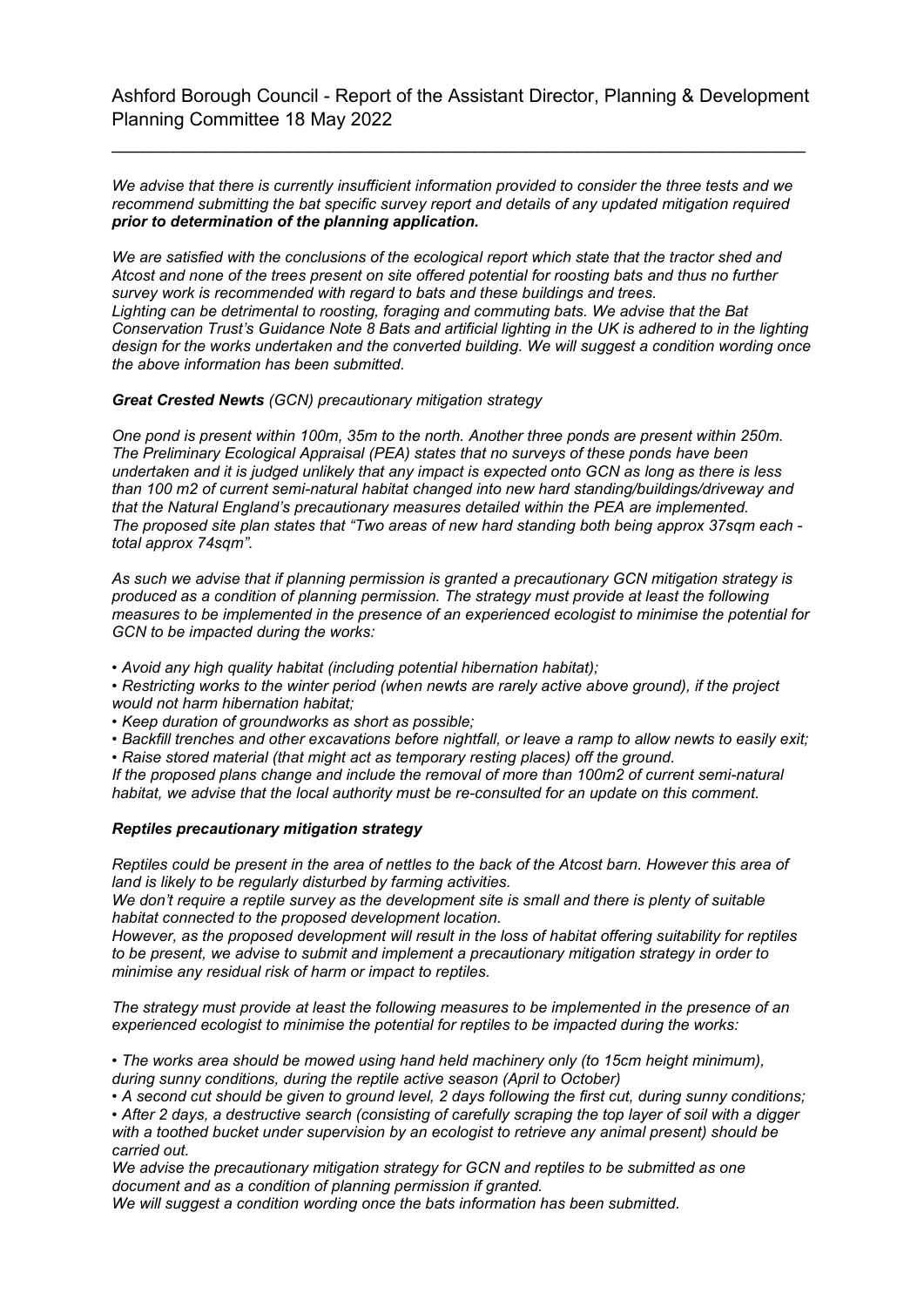\_\_\_\_\_\_\_\_\_\_\_\_\_\_\_\_\_\_\_\_\_\_\_\_\_\_\_\_\_\_\_\_\_\_\_\_\_\_\_\_\_\_\_\_\_\_\_\_\_\_\_\_\_\_\_\_\_\_\_\_\_\_\_\_\_\_\_

*We advise that there is currently insufficient information provided to consider the three tests and we recommend submitting the bat specific survey report and details of any updated mitigation required prior to determination of the planning application.*

*We are satisfied with the conclusions of the ecological report which state that the tractor shed and Atcost and none of the trees present on site offered potential for roosting bats and thus no further survey work is recommended with regard to bats and these buildings and trees. Lighting can be detrimental to roosting, foraging and commuting bats. We advise that the Bat Conservation Trust's Guidance Note 8 Bats and artificial lighting in the UK is adhered to in the lighting design for the works undertaken and the converted building. We will suggest a condition wording once the above information has been submitted.*

*Great Crested Newts (GCN) precautionary mitigation strategy*

*One pond is present within 100m, 35m to the north. Another three ponds are present within 250m. The Preliminary Ecological Appraisal (PEA) states that no surveys of these ponds have been undertaken and it is judged unlikely that any impact is expected onto GCN as long as there is less than 100 m2 of current semi-natural habitat changed into new hard standing/buildings/driveway and that the Natural England's precautionary measures detailed within the PEA are implemented. The proposed site plan states that "Two areas of new hard standing both being approx 37sqm each total approx 74sqm".*

*As such we advise that if planning permission is granted a precautionary GCN mitigation strategy is produced as a condition of planning permission. The strategy must provide at least the following measures to be implemented in the presence of an experienced ecologist to minimise the potential for GCN to be impacted during the works:*

*• Avoid any high quality habitat (including potential hibernation habitat);*

*• Restricting works to the winter period (when newts are rarely active above ground), if the project would not harm hibernation habitat;*

*• Keep duration of groundworks as short as possible;*

*• Backfill trenches and other excavations before nightfall, or leave a ramp to allow newts to easily exit;*

*• Raise stored material (that might act as temporary resting places) off the ground.*

*If the proposed plans change and include the removal of more than 100m2 of current semi-natural habitat, we advise that the local authority must be re-consulted for an update on this comment.*

#### *Reptiles precautionary mitigation strategy*

*Reptiles could be present in the area of nettles to the back of the Atcost barn. However this area of land is likely to be regularly disturbed by farming activities.*

*We don't require a reptile survey as the development site is small and there is plenty of suitable habitat connected to the proposed development location.*

*However, as the proposed development will result in the loss of habitat offering suitability for reptiles to be present, we advise to submit and implement a precautionary mitigation strategy in order to minimise any residual risk of harm or impact to reptiles.*

*The strategy must provide at least the following measures to be implemented in the presence of an experienced ecologist to minimise the potential for reptiles to be impacted during the works:*

*• The works area should be mowed using hand held machinery only (to 15cm height minimum), during sunny conditions, during the reptile active season (April to October)*

*• A second cut should be given to ground level, 2 days following the first cut, during sunny conditions;*

*• After 2 days, a destructive search (consisting of carefully scraping the top layer of soil with a digger with a toothed bucket under supervision by an ecologist to retrieve any animal present) should be carried out.*

*We advise the precautionary mitigation strategy for GCN and reptiles to be submitted as one document and as a condition of planning permission if granted.*

*We will suggest a condition wording once the bats information has been submitted.*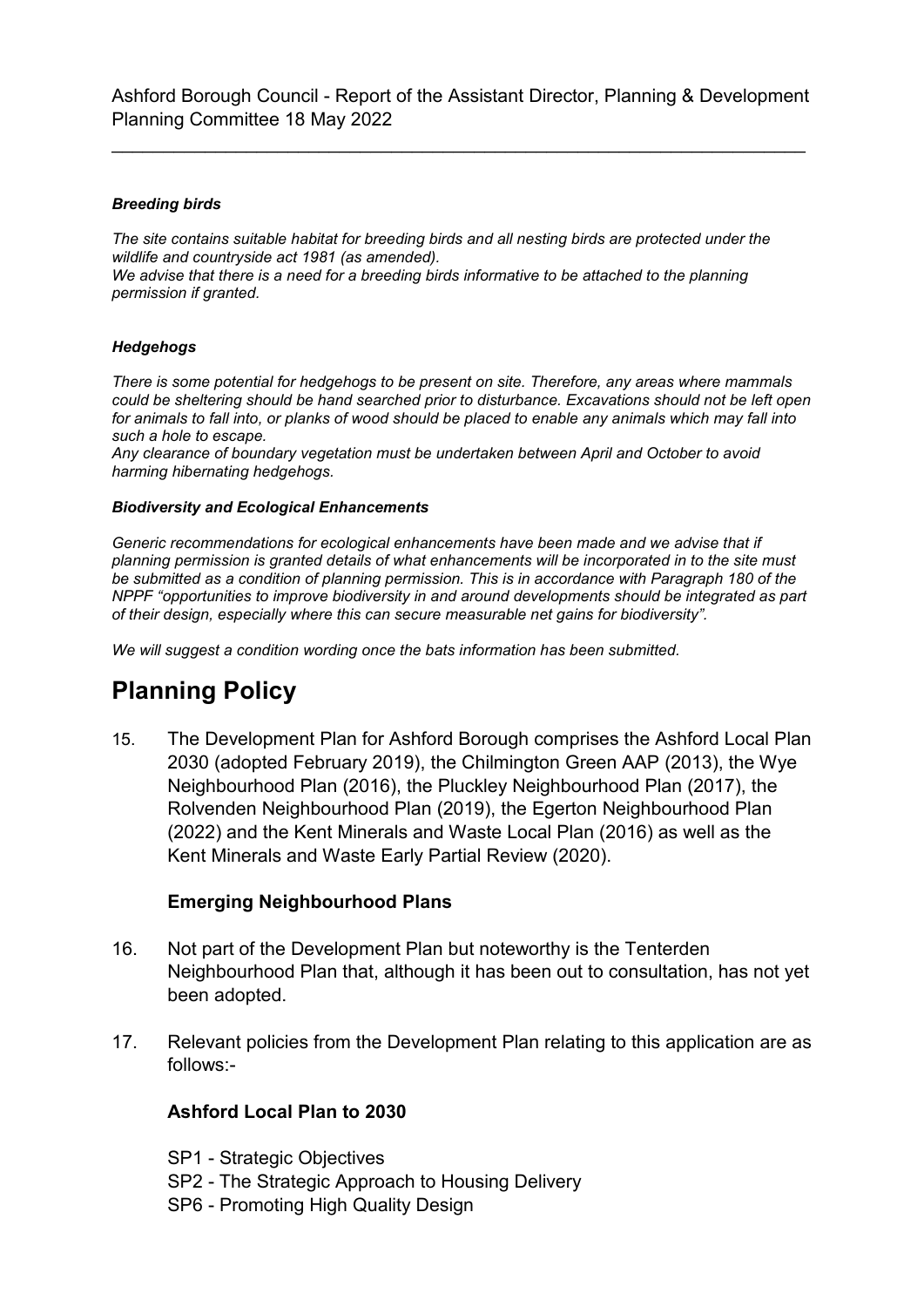\_\_\_\_\_\_\_\_\_\_\_\_\_\_\_\_\_\_\_\_\_\_\_\_\_\_\_\_\_\_\_\_\_\_\_\_\_\_\_\_\_\_\_\_\_\_\_\_\_\_\_\_\_\_\_\_\_\_\_\_\_\_\_\_\_\_\_

#### *Breeding birds*

*The site contains suitable habitat for breeding birds and all nesting birds are protected under the wildlife and countryside act 1981 (as amended).*

*We advise that there is a need for a breeding birds informative to be attached to the planning permission if granted.*

#### *Hedgehogs*

*There is some potential for hedgehogs to be present on site. Therefore, any areas where mammals could be sheltering should be hand searched prior to disturbance. Excavations should not be left open for animals to fall into, or planks of wood should be placed to enable any animals which may fall into such a hole to escape.*

*Any clearance of boundary vegetation must be undertaken between April and October to avoid harming hibernating hedgehogs.*

#### *Biodiversity and Ecological Enhancements*

*Generic recommendations for ecological enhancements have been made and we advise that if planning permission is granted details of what enhancements will be incorporated in to the site must be submitted as a condition of planning permission. This is in accordance with Paragraph 180 of the NPPF "opportunities to improve biodiversity in and around developments should be integrated as part of their design, especially where this can secure measurable net gains for biodiversity".*

*We will suggest a condition wording once the bats information has been submitted.*

# **Planning Policy**

15. The Development Plan for Ashford Borough comprises the Ashford Local Plan 2030 (adopted February 2019), the Chilmington Green AAP (2013), the Wye Neighbourhood Plan (2016), the Pluckley Neighbourhood Plan (2017), the Rolvenden Neighbourhood Plan (2019), the Egerton Neighbourhood Plan (2022) and the Kent Minerals and Waste Local Plan (2016) as well as the Kent Minerals and Waste Early Partial Review (2020).

#### **Emerging Neighbourhood Plans**

- 16. Not part of the Development Plan but noteworthy is the Tenterden Neighbourhood Plan that, although it has been out to consultation, has not yet been adopted.
- 17. Relevant policies from the Development Plan relating to this application are as follows:-

### **Ashford Local Plan to 2030**

- SP1 Strategic Objectives
- SP2 The Strategic Approach to Housing Delivery
- SP6 Promoting High Quality Design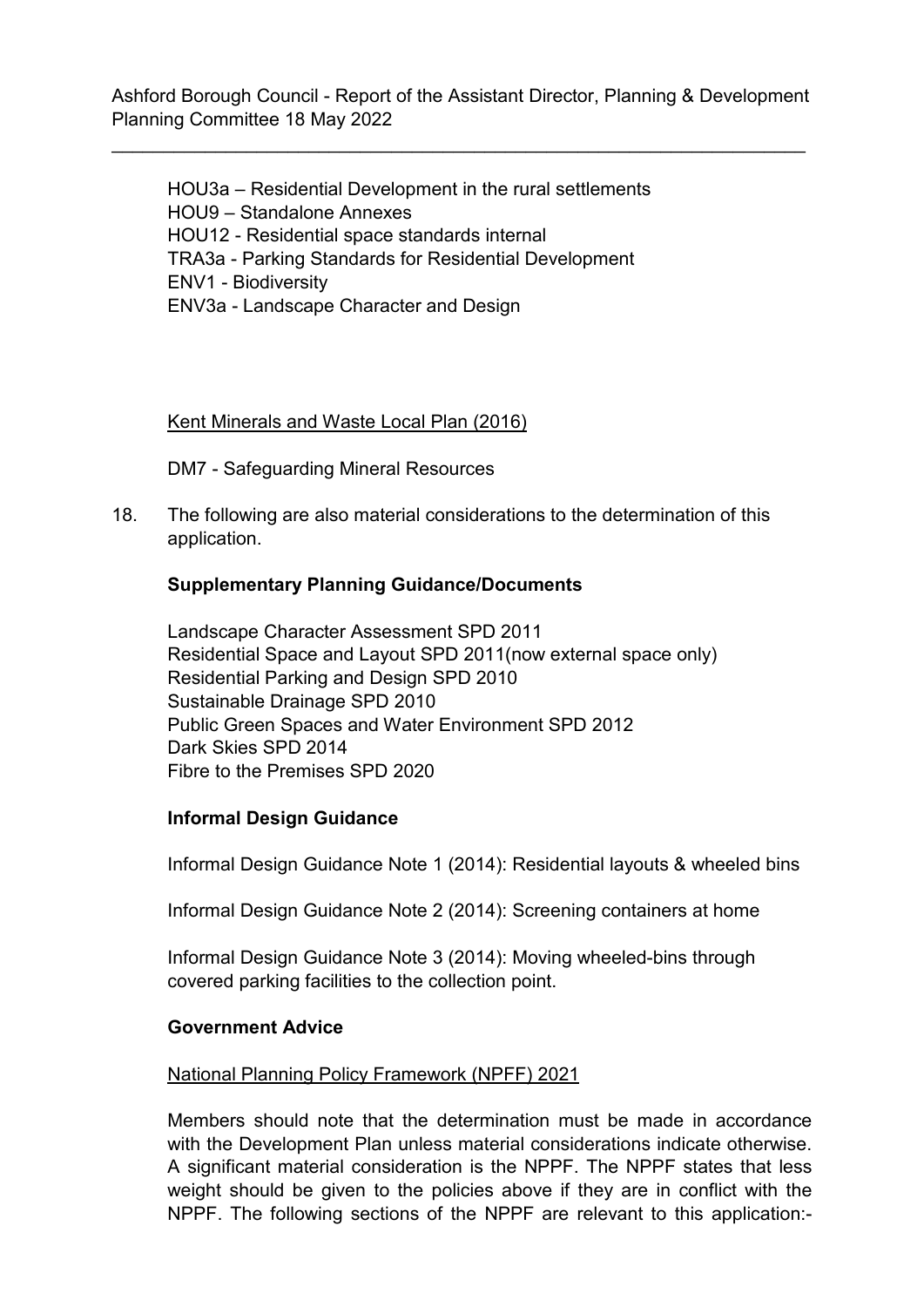\_\_\_\_\_\_\_\_\_\_\_\_\_\_\_\_\_\_\_\_\_\_\_\_\_\_\_\_\_\_\_\_\_\_\_\_\_\_\_\_\_\_\_\_\_\_\_\_\_\_\_\_\_\_\_\_\_\_\_\_\_\_\_\_\_\_\_

HOU3a – Residential Development in the rural settlements HOU9 – Standalone Annexes HOU12 - Residential space standards internal TRA3a - Parking Standards for Residential Development ENV1 - Biodiversity ENV3a - Landscape Character and Design

### Kent Minerals and Waste Local Plan (2016)

DM7 - Safeguarding Mineral Resources

18. The following are also material considerations to the determination of this application.

#### **Supplementary Planning Guidance/Documents**

Landscape Character Assessment SPD 2011 Residential Space and Layout SPD 2011(now external space only) Residential Parking and Design SPD 2010 Sustainable Drainage SPD 2010 Public Green Spaces and Water Environment SPD 2012 Dark Skies SPD 2014 Fibre to the Premises SPD 2020

#### **Informal Design Guidance**

Informal Design Guidance Note 1 (2014): Residential layouts & wheeled bins

Informal Design Guidance Note 2 (2014): Screening containers at home

Informal Design Guidance Note 3 (2014): Moving wheeled-bins through covered parking facilities to the collection point.

#### **Government Advice**

### National Planning Policy Framework (NPFF) 2021

Members should note that the determination must be made in accordance with the Development Plan unless material considerations indicate otherwise. A significant material consideration is the NPPF. The NPPF states that less weight should be given to the policies above if they are in conflict with the NPPF. The following sections of the NPPF are relevant to this application:-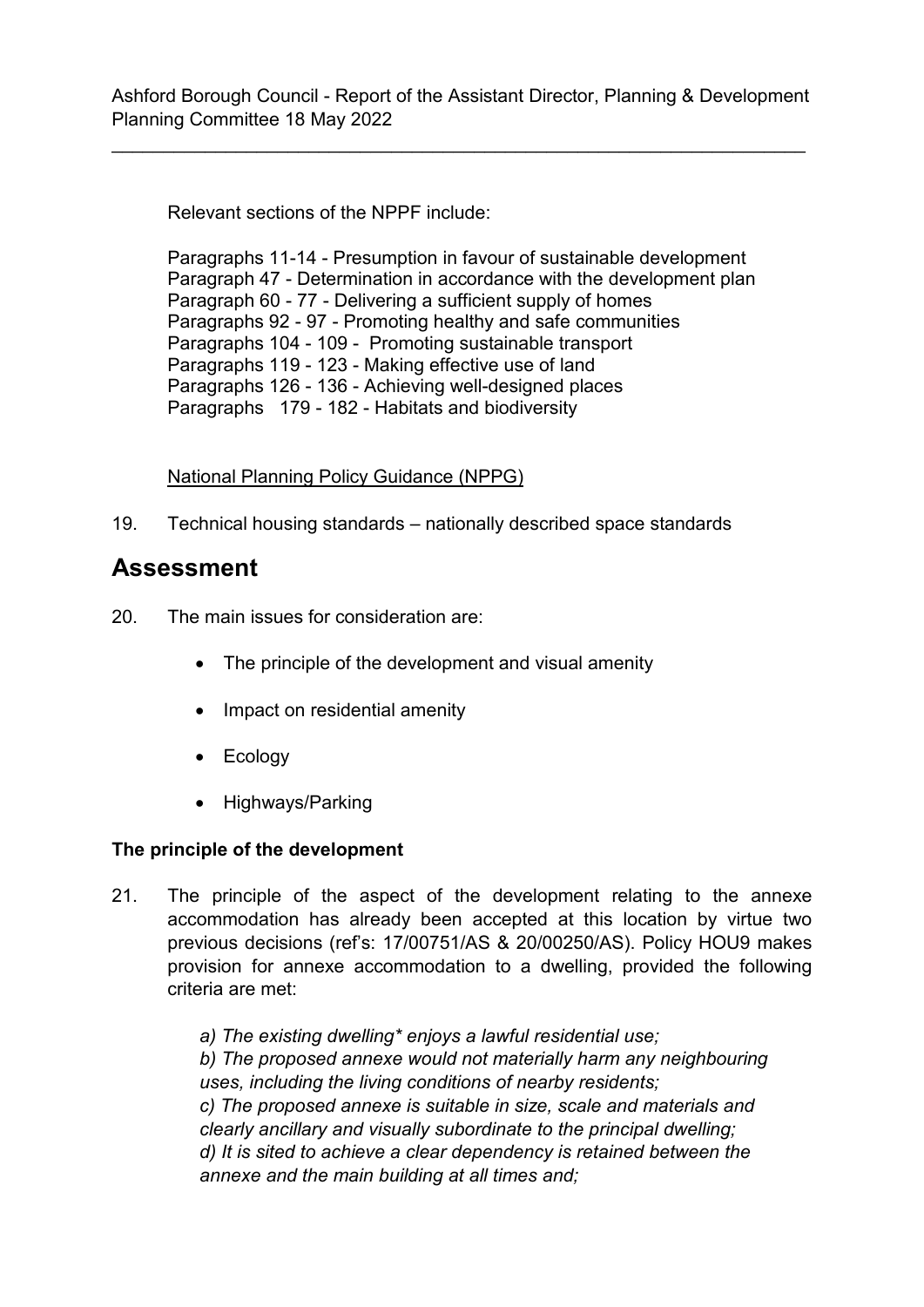\_\_\_\_\_\_\_\_\_\_\_\_\_\_\_\_\_\_\_\_\_\_\_\_\_\_\_\_\_\_\_\_\_\_\_\_\_\_\_\_\_\_\_\_\_\_\_\_\_\_\_\_\_\_\_\_\_\_\_\_\_\_\_\_\_\_\_

Relevant sections of the NPPF include:

Paragraphs 11-14 - Presumption in favour of sustainable development Paragraph 47 - Determination in accordance with the development plan Paragraph 60 - 77 - Delivering a sufficient supply of homes Paragraphs 92 - 97 - Promoting healthy and safe communities Paragraphs 104 - 109 - Promoting sustainable transport Paragraphs 119 - 123 - Making effective use of land Paragraphs 126 - 136 - Achieving well-designed places Paragraphs 179 - 182 - Habitats and biodiversity

### National Planning Policy Guidance (NPPG)

19. Technical housing standards – nationally described space standards

## **Assessment**

- 20. The main issues for consideration are:
	- The principle of the development and visual amenity
	- Impact on residential amenity
	- Ecology
	- Highways/Parking

## **The principle of the development**

21. The principle of the aspect of the development relating to the annexe accommodation has already been accepted at this location by virtue two previous decisions (ref's: 17/00751/AS & 20/00250/AS). Policy HOU9 makes provision for annexe accommodation to a dwelling, provided the following criteria are met:

> *a) The existing dwelling\* enjoys a lawful residential use; b) The proposed annexe would not materially harm any neighbouring uses, including the living conditions of nearby residents; c) The proposed annexe is suitable in size, scale and materials and clearly ancillary and visually subordinate to the principal dwelling; d) It is sited to achieve a clear dependency is retained between the annexe and the main building at all times and;*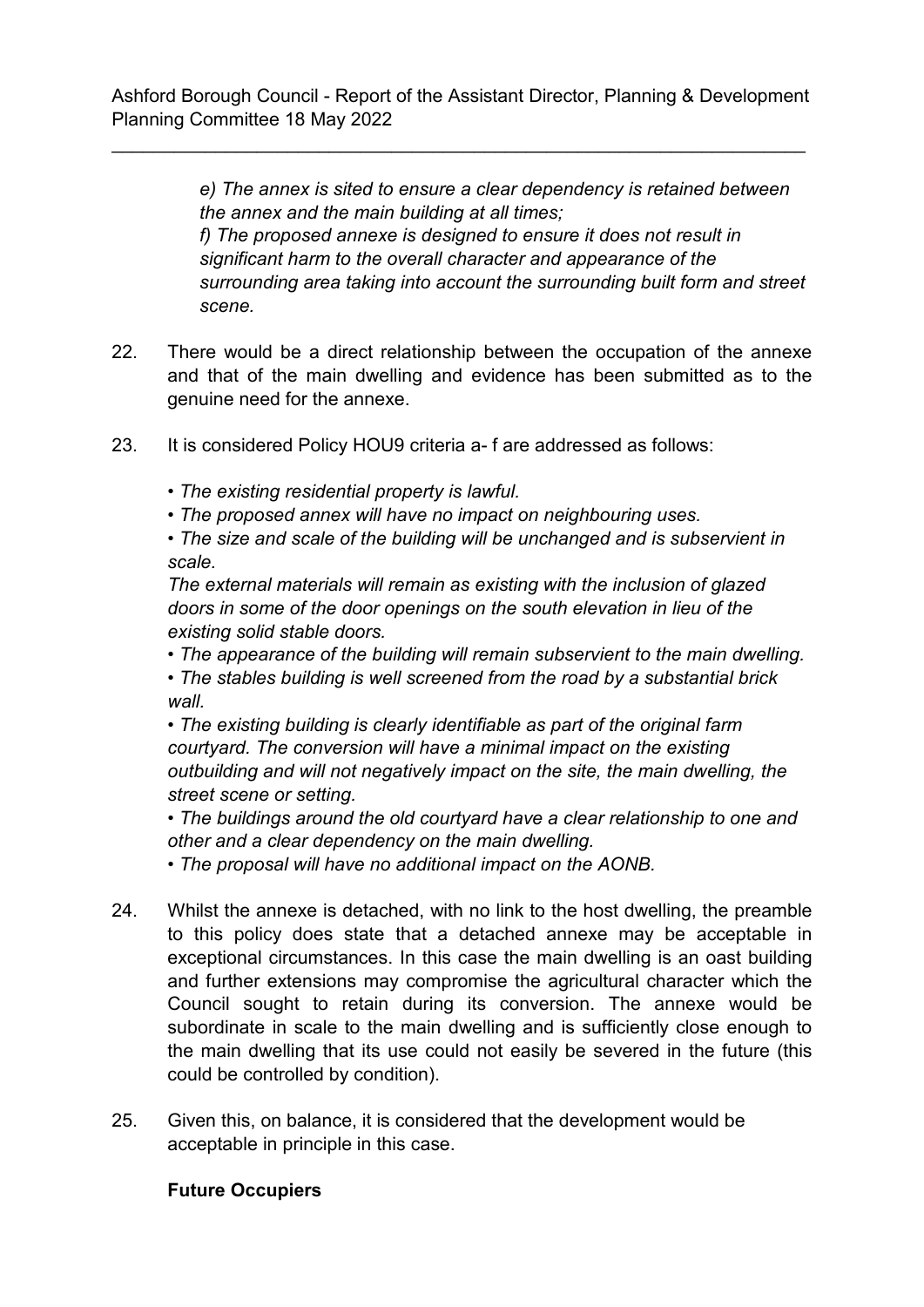\_\_\_\_\_\_\_\_\_\_\_\_\_\_\_\_\_\_\_\_\_\_\_\_\_\_\_\_\_\_\_\_\_\_\_\_\_\_\_\_\_\_\_\_\_\_\_\_\_\_\_\_\_\_\_\_\_\_\_\_\_\_\_\_\_\_\_

*e) The annex is sited to ensure a clear dependency is retained between the annex and the main building at all times; f) The proposed annexe is designed to ensure it does not result in significant harm to the overall character and appearance of the surrounding area taking into account the surrounding built form and street scene.*

- 22. There would be a direct relationship between the occupation of the annexe and that of the main dwelling and evidence has been submitted as to the genuine need for the annexe.
- 23. It is considered Policy HOU9 criteria a- f are addressed as follows:
	- *The existing residential property is lawful.*
	- *The proposed annex will have no impact on neighbouring uses.*

*• The size and scale of the building will be unchanged and is subservient in scale.* 

*The external materials will remain as existing with the inclusion of glazed doors in some of the door openings on the south elevation in lieu of the existing solid stable doors.*

*• The appearance of the building will remain subservient to the main dwelling.*

*• The stables building is well screened from the road by a substantial brick wall.*

*• The existing building is clearly identifiable as part of the original farm courtyard. The conversion will have a minimal impact on the existing outbuilding and will not negatively impact on the site, the main dwelling, the street scene or setting.*

*• The buildings around the old courtyard have a clear relationship to one and other and a clear dependency on the main dwelling.*

*• The proposal will have no additional impact on the AONB.*

- 24. Whilst the annexe is detached, with no link to the host dwelling, the preamble to this policy does state that a detached annexe may be acceptable in exceptional circumstances. In this case the main dwelling is an oast building and further extensions may compromise the agricultural character which the Council sought to retain during its conversion. The annexe would be subordinate in scale to the main dwelling and is sufficiently close enough to the main dwelling that its use could not easily be severed in the future (this could be controlled by condition).
- 25. Given this, on balance, it is considered that the development would be acceptable in principle in this case.

## **Future Occupiers**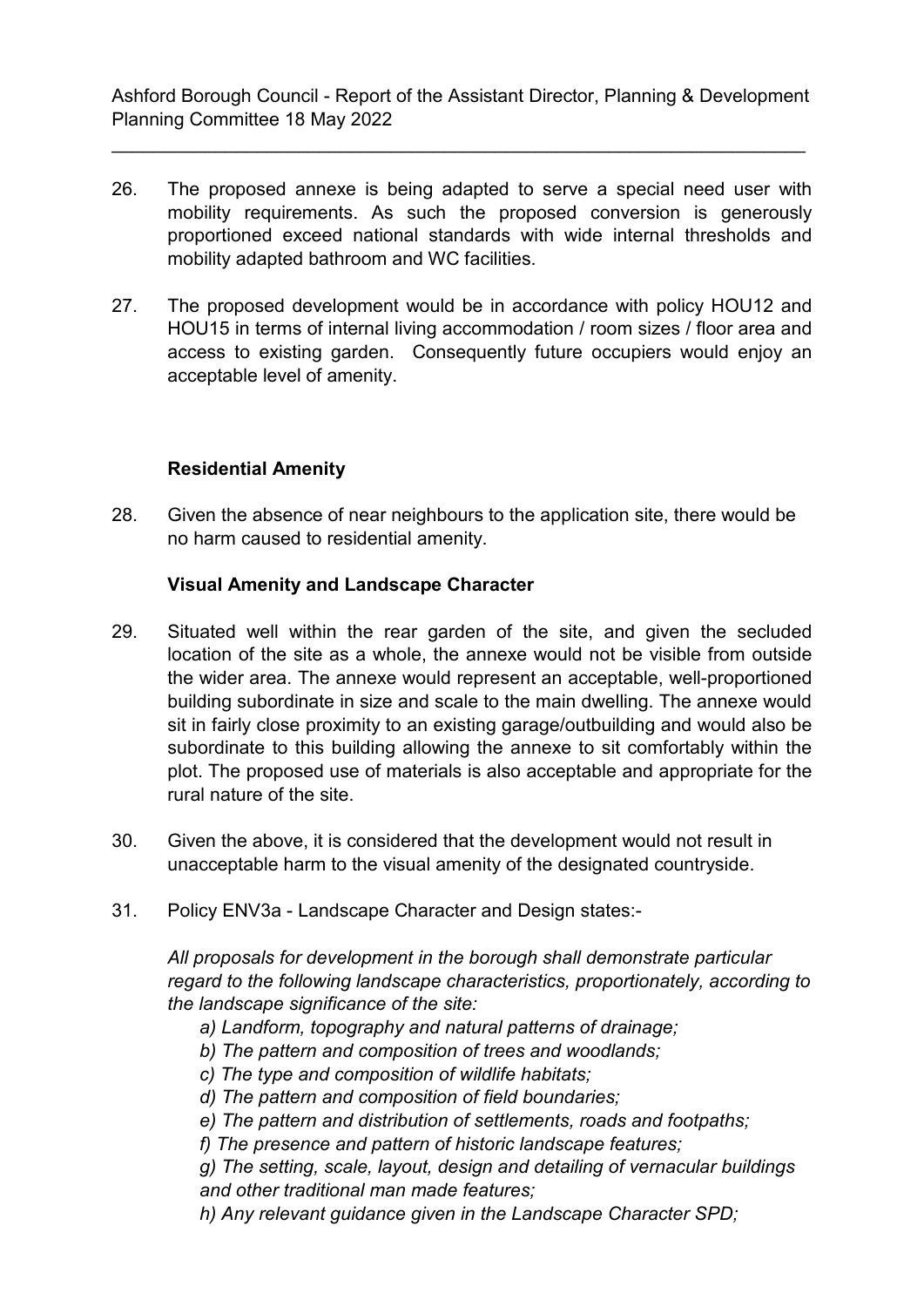\_\_\_\_\_\_\_\_\_\_\_\_\_\_\_\_\_\_\_\_\_\_\_\_\_\_\_\_\_\_\_\_\_\_\_\_\_\_\_\_\_\_\_\_\_\_\_\_\_\_\_\_\_\_\_\_\_\_\_\_\_\_\_\_\_\_\_

- 26. The proposed annexe is being adapted to serve a special need user with mobility requirements. As such the proposed conversion is generously proportioned exceed national standards with wide internal thresholds and mobility adapted bathroom and WC facilities.
- 27. The proposed development would be in accordance with policy HOU12 and HOU15 in terms of internal living accommodation / room sizes / floor area and access to existing garden. Consequently future occupiers would enjoy an acceptable level of amenity.

## **Residential Amenity**

28. Given the absence of near neighbours to the application site, there would be no harm caused to residential amenity.

### **Visual Amenity and Landscape Character**

- 29. Situated well within the rear garden of the site, and given the secluded location of the site as a whole, the annexe would not be visible from outside the wider area. The annexe would represent an acceptable, well-proportioned building subordinate in size and scale to the main dwelling. The annexe would sit in fairly close proximity to an existing garage/outbuilding and would also be subordinate to this building allowing the annexe to sit comfortably within the plot. The proposed use of materials is also acceptable and appropriate for the rural nature of the site.
- 30. Given the above, it is considered that the development would not result in unacceptable harm to the visual amenity of the designated countryside.
- 31. Policy ENV3a Landscape Character and Design states:-

*All proposals for development in the borough shall demonstrate particular regard to the following landscape characteristics, proportionately, according to the landscape significance of the site:*

- *a) Landform, topography and natural patterns of drainage;*
- *b) The pattern and composition of trees and woodlands;*
- *c) The type and composition of wildlife habitats;*
- *d) The pattern and composition of field boundaries;*
- *e) The pattern and distribution of settlements, roads and footpaths;*
- *f) The presence and pattern of historic landscape features;*
- *g) The setting, scale, layout, design and detailing of vernacular buildings and other traditional man made features;*
- *h) Any relevant guidance given in the Landscape Character SPD;*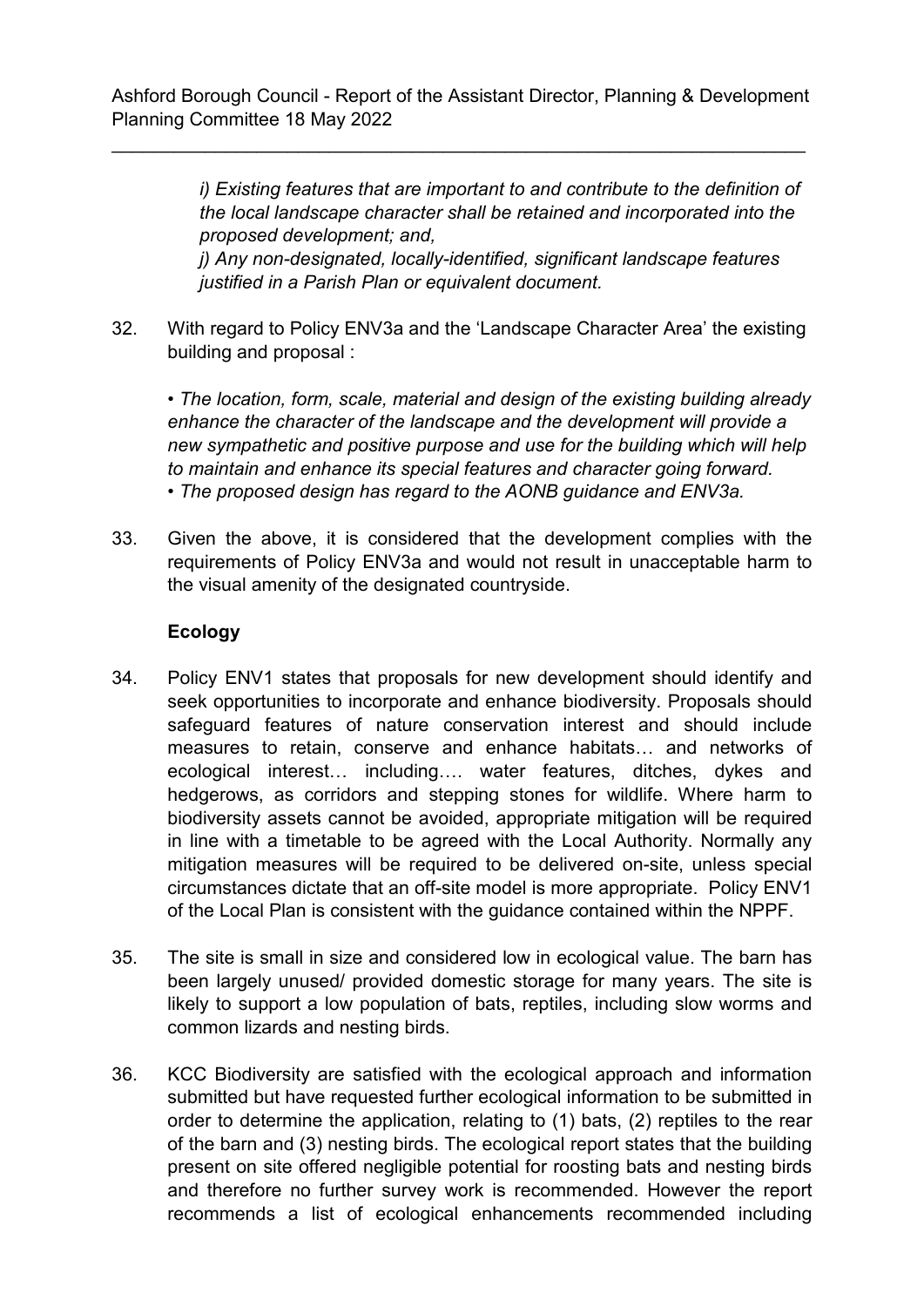\_\_\_\_\_\_\_\_\_\_\_\_\_\_\_\_\_\_\_\_\_\_\_\_\_\_\_\_\_\_\_\_\_\_\_\_\_\_\_\_\_\_\_\_\_\_\_\_\_\_\_\_\_\_\_\_\_\_\_\_\_\_\_\_\_\_\_

*i) Existing features that are important to and contribute to the definition of the local landscape character shall be retained and incorporated into the proposed development; and, j) Any non-designated, locally-identified, significant landscape features justified in a Parish Plan or equivalent document.*

32. With regard to Policy ENV3a and the 'Landscape Character Area' the existing building and proposal :

*• The location, form, scale, material and design of the existing building already enhance the character of the landscape and the development will provide a new sympathetic and positive purpose and use for the building which will help to maintain and enhance its special features and character going forward. • The proposed design has regard to the AONB guidance and ENV3a.*

33. Given the above, it is considered that the development complies with the requirements of Policy ENV3a and would not result in unacceptable harm to the visual amenity of the designated countryside.

## **Ecology**

- 34. Policy ENV1 states that proposals for new development should identify and seek opportunities to incorporate and enhance biodiversity. Proposals should safeguard features of nature conservation interest and should include measures to retain, conserve and enhance habitats… and networks of ecological interest… including…. water features, ditches, dykes and hedgerows, as corridors and stepping stones for wildlife. Where harm to biodiversity assets cannot be avoided, appropriate mitigation will be required in line with a timetable to be agreed with the Local Authority. Normally any mitigation measures will be required to be delivered on-site, unless special circumstances dictate that an off-site model is more appropriate. Policy ENV1 of the Local Plan is consistent with the guidance contained within the NPPF.
- 35. The site is small in size and considered low in ecological value. The barn has been largely unused/ provided domestic storage for many years. The site is likely to support a low population of bats, reptiles, including slow worms and common lizards and nesting birds.
- 36. KCC Biodiversity are satisfied with the ecological approach and information submitted but have requested further ecological information to be submitted in order to determine the application, relating to (1) bats, (2) reptiles to the rear of the barn and (3) nesting birds. The ecological report states that the building present on site offered negligible potential for roosting bats and nesting birds and therefore no further survey work is recommended. However the report recommends a list of ecological enhancements recommended including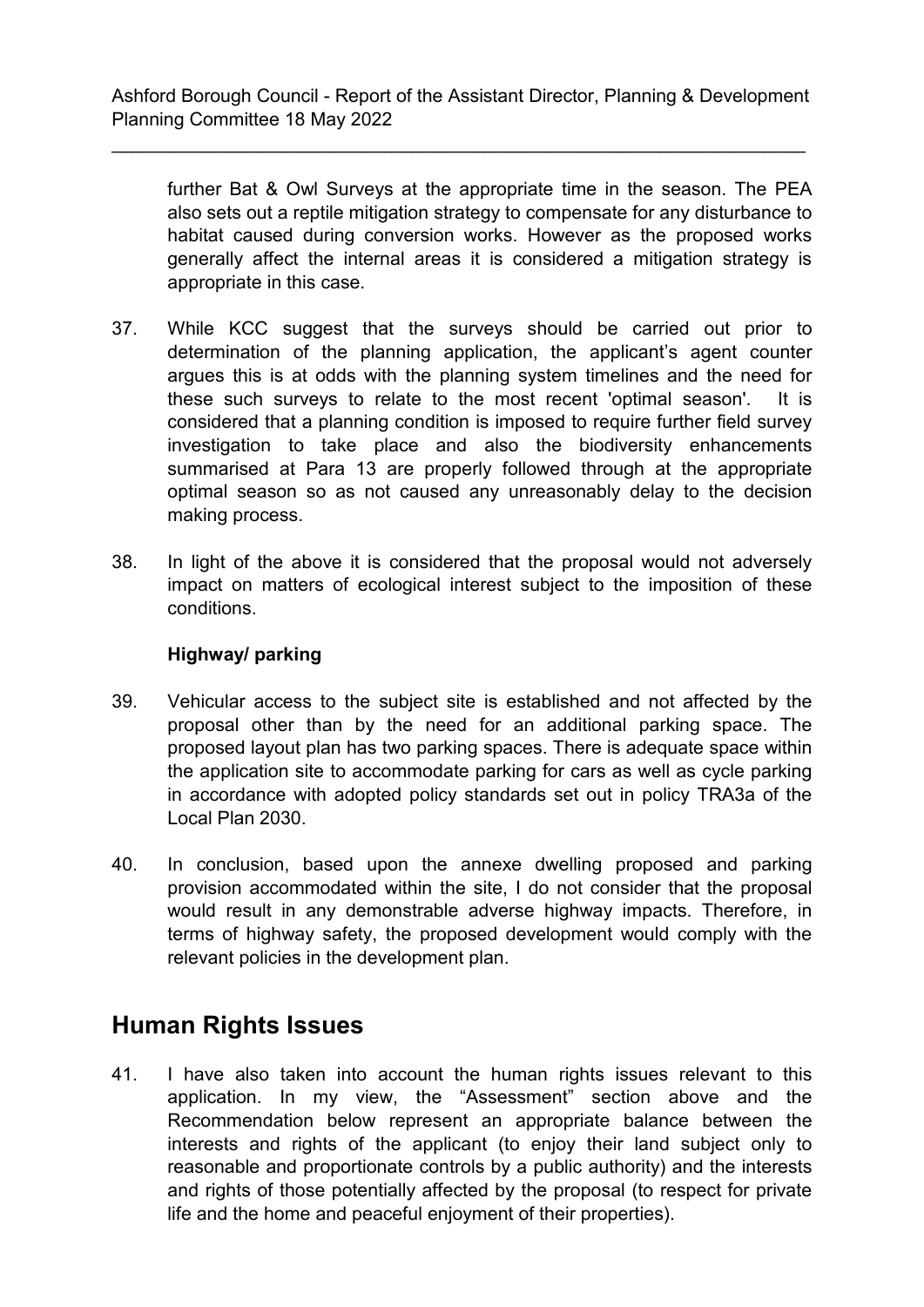\_\_\_\_\_\_\_\_\_\_\_\_\_\_\_\_\_\_\_\_\_\_\_\_\_\_\_\_\_\_\_\_\_\_\_\_\_\_\_\_\_\_\_\_\_\_\_\_\_\_\_\_\_\_\_\_\_\_\_\_\_\_\_\_\_\_\_

further Bat & Owl Surveys at the appropriate time in the season. The PEA also sets out a reptile mitigation strategy to compensate for any disturbance to habitat caused during conversion works. However as the proposed works generally affect the internal areas it is considered a mitigation strategy is appropriate in this case.

- 37. While KCC suggest that the surveys should be carried out prior to determination of the planning application, the applicant's agent counter argues this is at odds with the planning system timelines and the need for these such surveys to relate to the most recent 'optimal season'. It is considered that a planning condition is imposed to require further field survey investigation to take place and also the biodiversity enhancements summarised at Para 13 are properly followed through at the appropriate optimal season so as not caused any unreasonably delay to the decision making process.
- 38. In light of the above it is considered that the proposal would not adversely impact on matters of ecological interest subject to the imposition of these conditions.

### **Highway/ parking**

- 39. Vehicular access to the subject site is established and not affected by the proposal other than by the need for an additional parking space. The proposed layout plan has two parking spaces. There is adequate space within the application site to accommodate parking for cars as well as cycle parking in accordance with adopted policy standards set out in policy TRA3a of the Local Plan 2030.
- 40. In conclusion, based upon the annexe dwelling proposed and parking provision accommodated within the site, I do not consider that the proposal would result in any demonstrable adverse highway impacts. Therefore, in terms of highway safety, the proposed development would comply with the relevant policies in the development plan.

## **Human Rights Issues**

41. I have also taken into account the human rights issues relevant to this application. In my view, the "Assessment" section above and the Recommendation below represent an appropriate balance between the interests and rights of the applicant (to enjoy their land subject only to reasonable and proportionate controls by a public authority) and the interests and rights of those potentially affected by the proposal (to respect for private life and the home and peaceful enjoyment of their properties).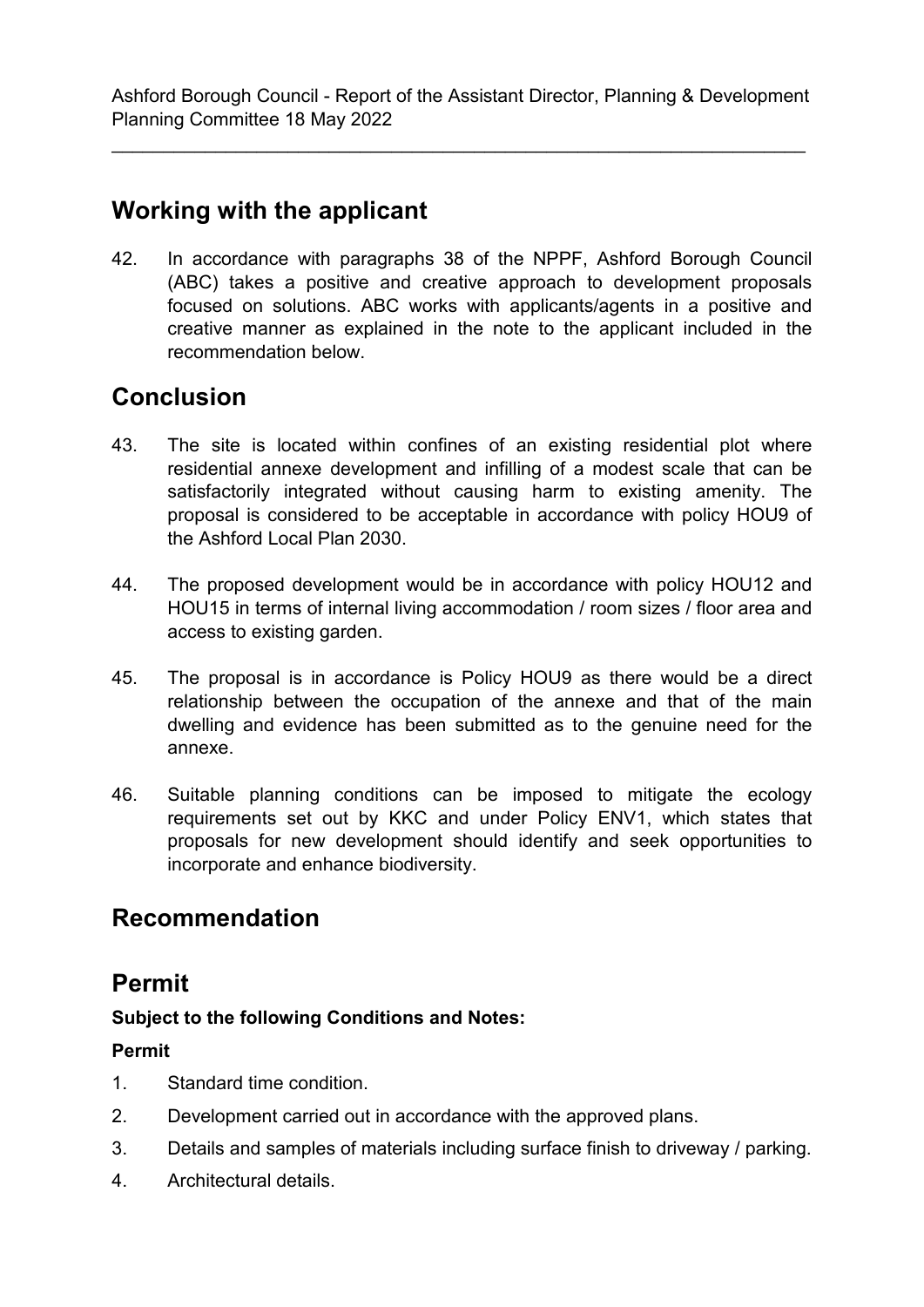\_\_\_\_\_\_\_\_\_\_\_\_\_\_\_\_\_\_\_\_\_\_\_\_\_\_\_\_\_\_\_\_\_\_\_\_\_\_\_\_\_\_\_\_\_\_\_\_\_\_\_\_\_\_\_\_\_\_\_\_\_\_\_\_\_\_\_

# **Working with the applicant**

42. In accordance with paragraphs 38 of the NPPF, Ashford Borough Council (ABC) takes a positive and creative approach to development proposals focused on solutions. ABC works with applicants/agents in a positive and creative manner as explained in the note to the applicant included in the recommendation below.

# **Conclusion**

- 43. The site is located within confines of an existing residential plot where residential annexe development and infilling of a modest scale that can be satisfactorily integrated without causing harm to existing amenity. The proposal is considered to be acceptable in accordance with policy HOU9 of the Ashford Local Plan 2030.
- 44. The proposed development would be in accordance with policy HOU12 and HOU15 in terms of internal living accommodation / room sizes / floor area and access to existing garden.
- 45. The proposal is in accordance is Policy HOU9 as there would be a direct relationship between the occupation of the annexe and that of the main dwelling and evidence has been submitted as to the genuine need for the annexe.
- 46. Suitable planning conditions can be imposed to mitigate the ecology requirements set out by KKC and under Policy ENV1, which states that proposals for new development should identify and seek opportunities to incorporate and enhance biodiversity.

## **Recommendation**

## **Permit**

## **Subject to the following Conditions and Notes:**

## **Permit**

- 1. Standard time condition.
- 2. Development carried out in accordance with the approved plans.
- 3. Details and samples of materials including surface finish to driveway / parking.
- 4. Architectural details.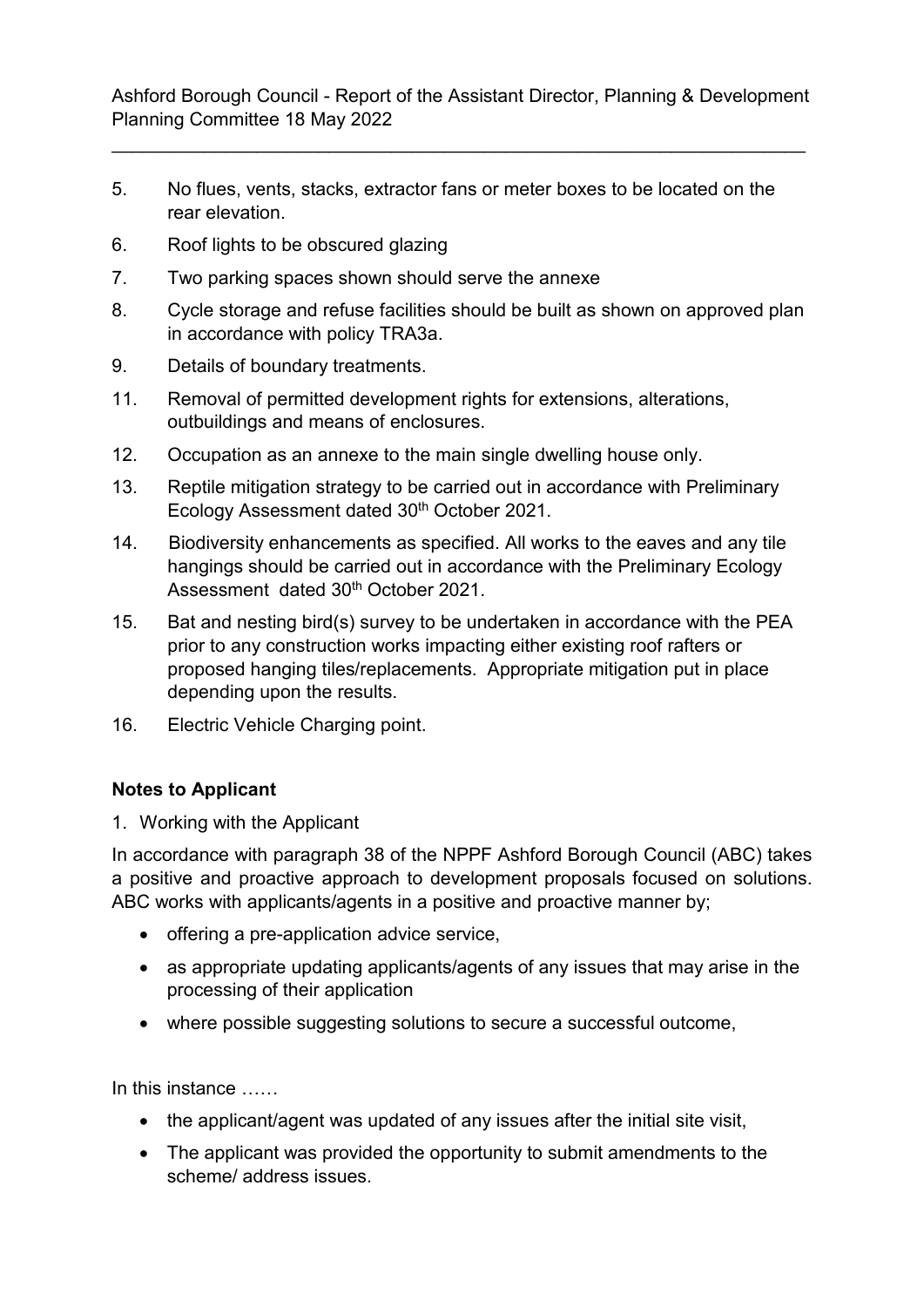\_\_\_\_\_\_\_\_\_\_\_\_\_\_\_\_\_\_\_\_\_\_\_\_\_\_\_\_\_\_\_\_\_\_\_\_\_\_\_\_\_\_\_\_\_\_\_\_\_\_\_\_\_\_\_\_\_\_\_\_\_\_\_\_\_\_\_

- 5. No flues, vents, stacks, extractor fans or meter boxes to be located on the rear elevation.
- 6. Roof lights to be obscured glazing
- 7. Two parking spaces shown should serve the annexe
- 8. Cycle storage and refuse facilities should be built as shown on approved plan in accordance with policy TRA3a.
- 9. Details of boundary treatments.
- 11. Removal of permitted development rights for extensions, alterations, outbuildings and means of enclosures.
- 12. Occupation as an annexe to the main single dwelling house only.
- 13. Reptile mitigation strategy to be carried out in accordance with Preliminary Ecology Assessment dated 30<sup>th</sup> October 2021.
- 14. Biodiversity enhancements as specified. All works to the eaves and any tile hangings should be carried out in accordance with the Preliminary Ecology Assessment dated 30th October 2021.
- 15. Bat and nesting bird(s) survey to be undertaken in accordance with the PEA prior to any construction works impacting either existing roof rafters or proposed hanging tiles/replacements. Appropriate mitigation put in place depending upon the results.
- 16. Electric Vehicle Charging point.

## **Notes to Applicant**

1. Working with the Applicant

In accordance with paragraph 38 of the NPPF Ashford Borough Council (ABC) takes a positive and proactive approach to development proposals focused on solutions. ABC works with applicants/agents in a positive and proactive manner by;

- offering a pre-application advice service,
- as appropriate updating applicants/agents of any issues that may arise in the processing of their application
- where possible suggesting solutions to secure a successful outcome,

In this instance ……

- the applicant/agent was updated of any issues after the initial site visit,
- The applicant was provided the opportunity to submit amendments to the scheme/ address issues.